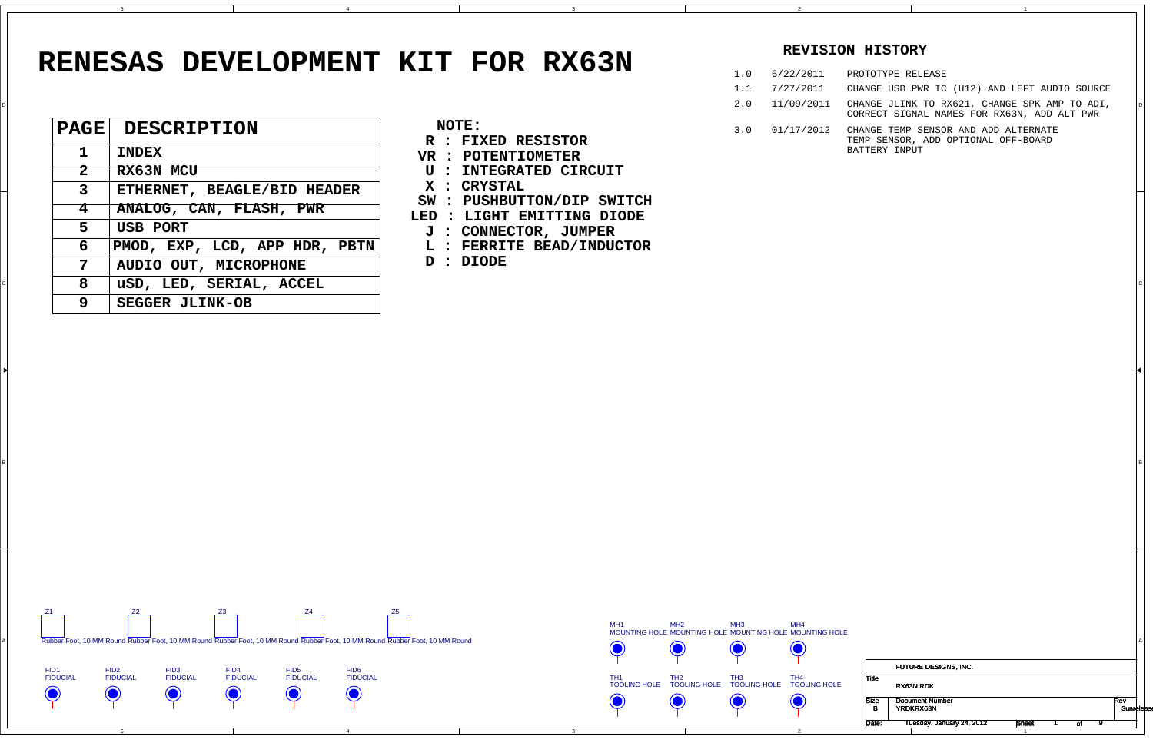4

4

3

3

в произведения в произведении с произведения в произведении с произведения и произведения и произведения и про<br>В 1

2

1

D

B

## **RENESAS DEVELOPMENT KIT FOR RX63N**

|                   |                              |                                                          |     |            | CONNECT DIONAL NAMBO FOR RAQUE, ADD ALL FWR                                 |
|-------------------|------------------------------|----------------------------------------------------------|-----|------------|-----------------------------------------------------------------------------|
| $ \mathbf{PAGE} $ | <b>DESCRIPTION</b>           | NOTE:<br>R : FIXED RESISTOR                              | 3.0 | 01/17/2012 | CHANGE TEMP SENSOR AND ADD ALTERNATE<br>TEMP SENSOR, ADD OPTIONAL OFF-BOARD |
|                   | <b>INDEX</b>                 | VR : POTENTIOMETER                                       |     |            | BATTERY INPUT                                                               |
| $\bf{2}$          | RX63N MCU                    | U : INTEGRATED CIRCUIT                                   |     |            |                                                                             |
| 3                 | ETHERNET, BEAGLE/BID HEADER  | X : CRYSTAL                                              |     |            |                                                                             |
|                   | ANALOG, CAN, FLASH, PWR      | SW : PUSHBUTTON/DIP SWITCH<br>LED : LIGHT EMITTING DIODE |     |            |                                                                             |
| 5                 | <b>USB PORT</b>              | <b>J : CONNECTOR, JUMPER</b>                             |     |            |                                                                             |
| 6                 | PMOD, EXP, LCD, APPHDR, PBTN | L : FERRITE BEAD/INDUCTOR                                |     |            |                                                                             |
| 7                 | AUDIO OUT, MICROPHONE        | D : DIODE                                                |     |            |                                                                             |
| 8                 | uSD, LED, SERIAL, ACCEL      |                                                          |     |            |                                                                             |
| 9                 | <b>SEGGER JLINK-OB</b>       |                                                          |     |            |                                                                             |
|                   |                              |                                                          |     |            |                                                                             |

5

|  | <b>NOTE:</b> |                       |
|--|--------------|-----------------------|
|  |              | <b>FIXED RESISTOR</b> |

 D 2.0 11/09/2011 CHANGE JLINK TO RX621, CHANGE SPK AMP TO ADI, CORRECT SIGNAL NAMES FOR RX63N, ADD ALT PWR

- **VR : POTENTIOMETER**
- **U : INTEGRATED CIRCUIT**
- **X : CRYSTAL**
- **SW : PUSHBUTTON/DIP SWITCH**
- **LED : LIGHT EMITTING DIODE**
- **J : CONNECTOR, JUMPER**
- **L : FERRITE BEAD/INDUCTOR**

|                  | FUTURE DESIGNS, INC.                |       |    |                          |  |
|------------------|-------------------------------------|-------|----|--------------------------|--|
| Title            | RX63N RDK                           |       |    |                          |  |
| <b>Size</b><br>в | <b>Document Number</b><br>YRDKRX63N |       |    | Rev<br><b>3unrelease</b> |  |
| Date:            | Tuesday, January 24, 2012           | Sheet | οl |                          |  |
|                  |                                     |       |    |                          |  |



## **REVISION HISTORY**

PROTOTYPE RELEASE

CHANGE USB PWR IC (U12) AND LEFT AUDIO SOURCE

| 1.0 | 6/22/2011  |
|-----|------------|
| 1.1 | 7/27/2011  |
| 2.0 | 11/09/2011 |
| 3.0 | 01/17/2012 |



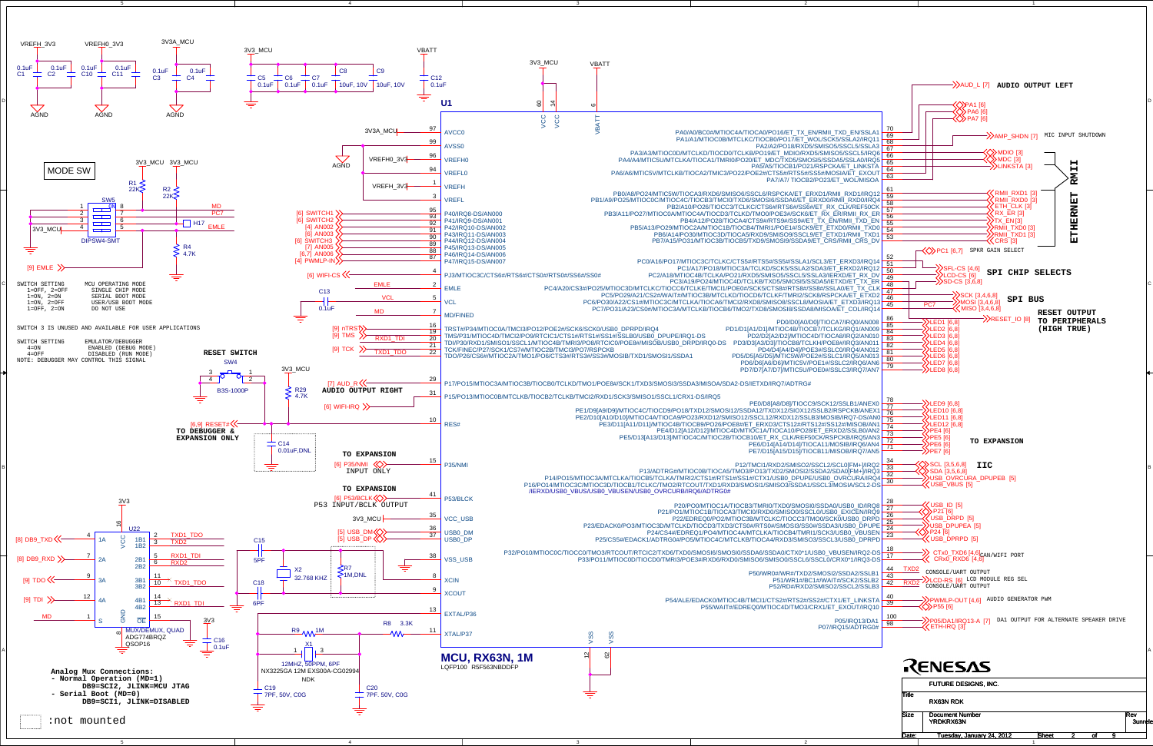4

4

3

3

2

2

5

D

C

A



| <b>Size</b> | <b>Document Number</b><br><b>YRDKRX63N</b> |       |    | Rev<br><b>3unrele</b> |
|-------------|--------------------------------------------|-------|----|-----------------------|
| Date:       | Tuesday, January 24, 2012                  | Sheet | ٥l |                       |
|             |                                            |       |    |                       |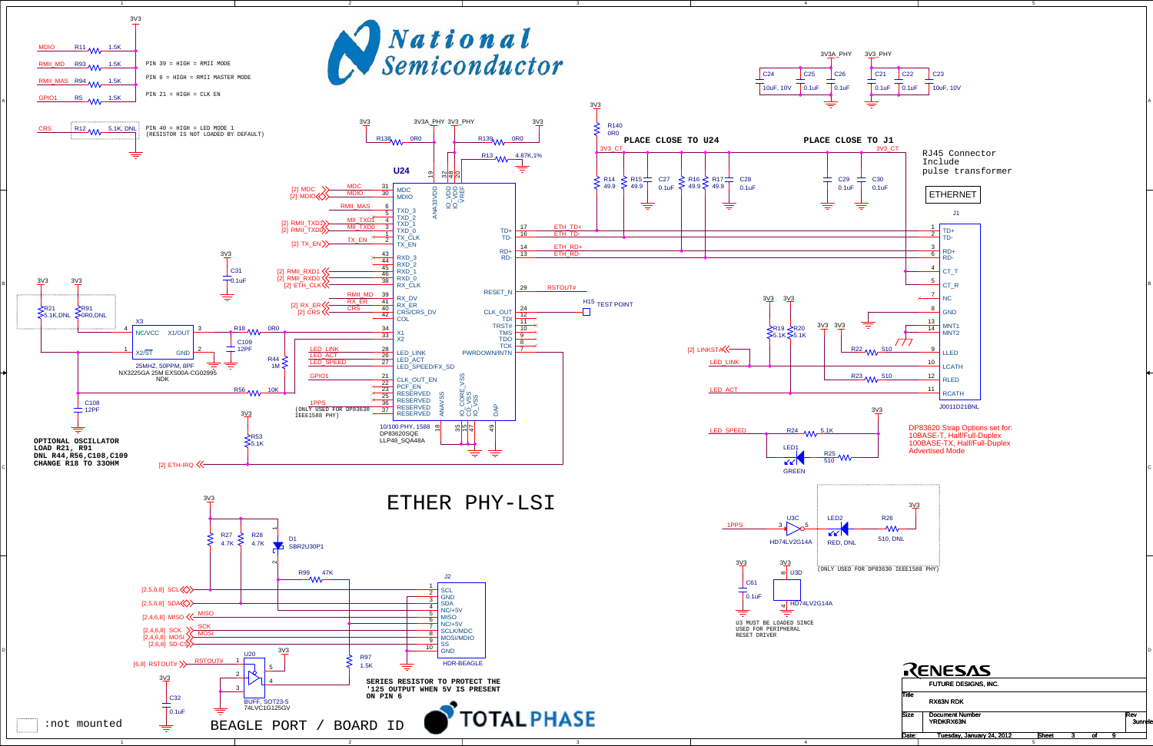

A

C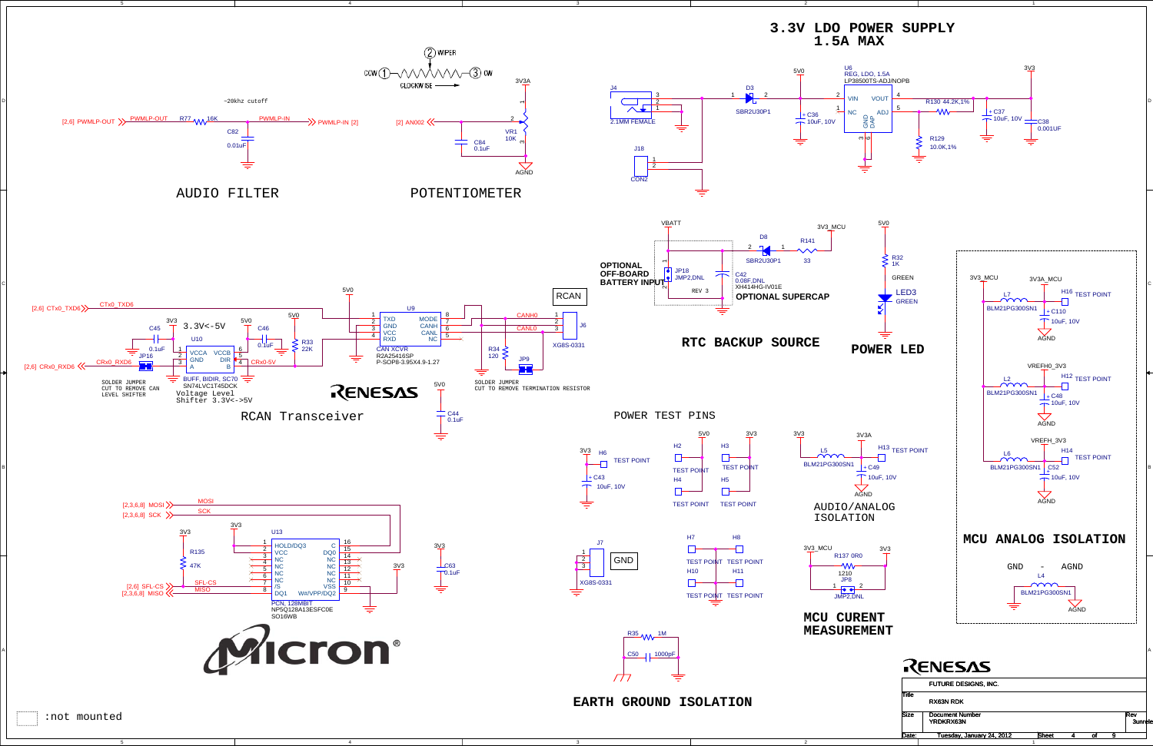4

3

D

C

A



| <b>DIZC</b> | <b>DOCUMENT INTINGL</b><br>YRDKRX63N |       |  | ncv<br><b>3unrele</b> |  |
|-------------|--------------------------------------|-------|--|-----------------------|--|
| Date:       | Tuesday, January 24, 2012            | Sheet |  |                       |  |
|             |                                      |       |  |                       |  |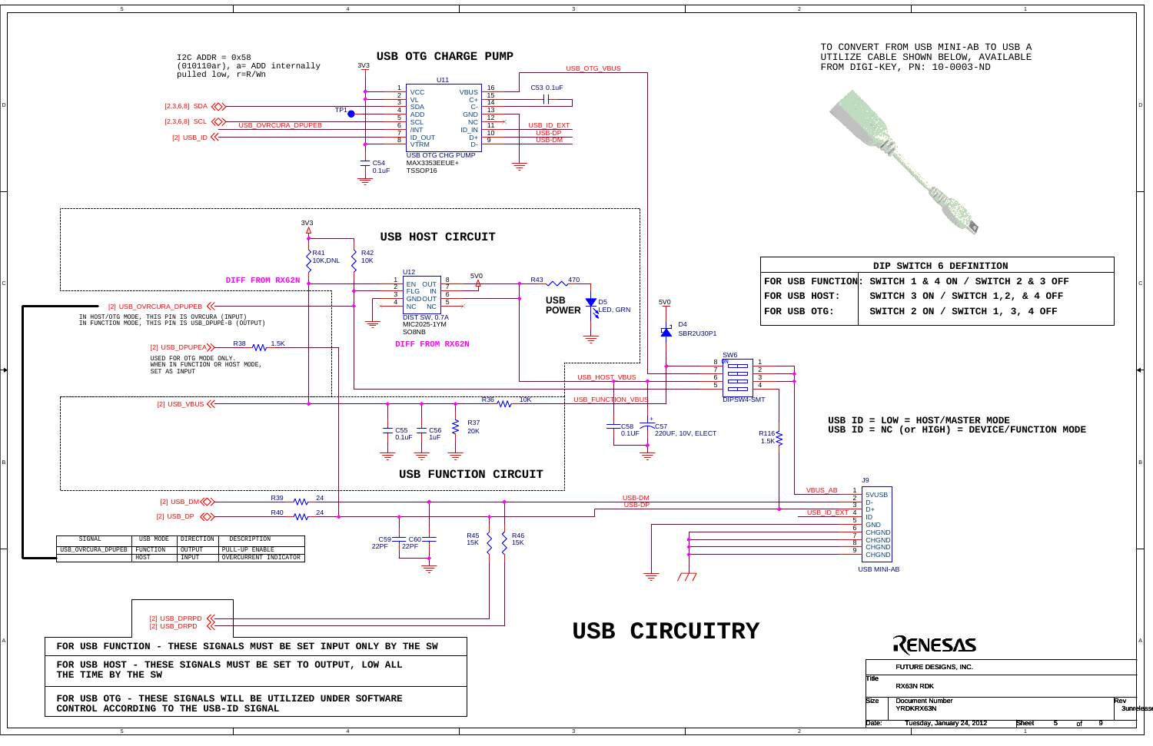5

3

2

1

D

C

B

A

| CONVERT FROM USB MINI-AB TO USB A<br>LIZE CABLE SHOWN BELOW, AVAILABLE<br>1 DIGI-KEY, PN: 10-0003-ND |  |
|------------------------------------------------------------------------------------------------------|--|
|                                                                                                      |  |

| DIP SWITCH 6 DEFINITION |  |  |  |                                                      |  |  |
|-------------------------|--|--|--|------------------------------------------------------|--|--|
|                         |  |  |  | $\overline{ON}$ : SWITCH 1 & 4 ON / SWITCH 2 & 3 OFF |  |  |
|                         |  |  |  | SWITCH 3 ON / SWITCH 1, 2, & 4 OFF                   |  |  |
|                         |  |  |  | SWITCH 2 ON / SWITCH 1, 3, 4 OFF                     |  |  |
|                         |  |  |  |                                                      |  |  |



**USB ID = LOW = HOST/MASTER MODE USB ID = NC (or HIGH) = DEVICE/FUNCTION MODE**

|              | FUTURE DESIGNS, INC.                       |       |    |                          |  |
|--------------|--------------------------------------------|-------|----|--------------------------|--|
| <b>Title</b> | RX63N RDK                                  |       |    |                          |  |
| <b>Size</b>  | <b>Document Number</b><br><b>YRDKRX63N</b> |       |    | Rev<br><b>3unrelease</b> |  |
| Date:        | Tuesday, January 24, 2012                  | Sheet | Ωi |                          |  |
|              |                                            |       |    |                          |  |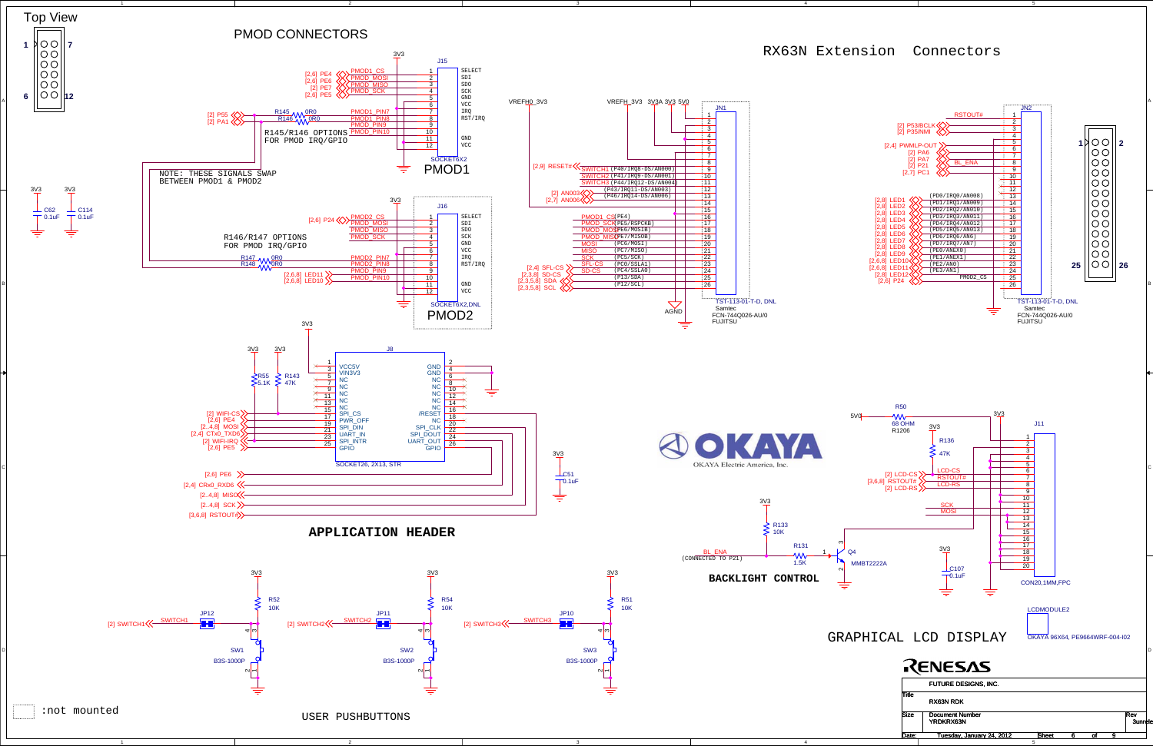5Date: Tuesday, January 24, 2012 Bheet 6 of 9 t 6 of

3

4

A

C

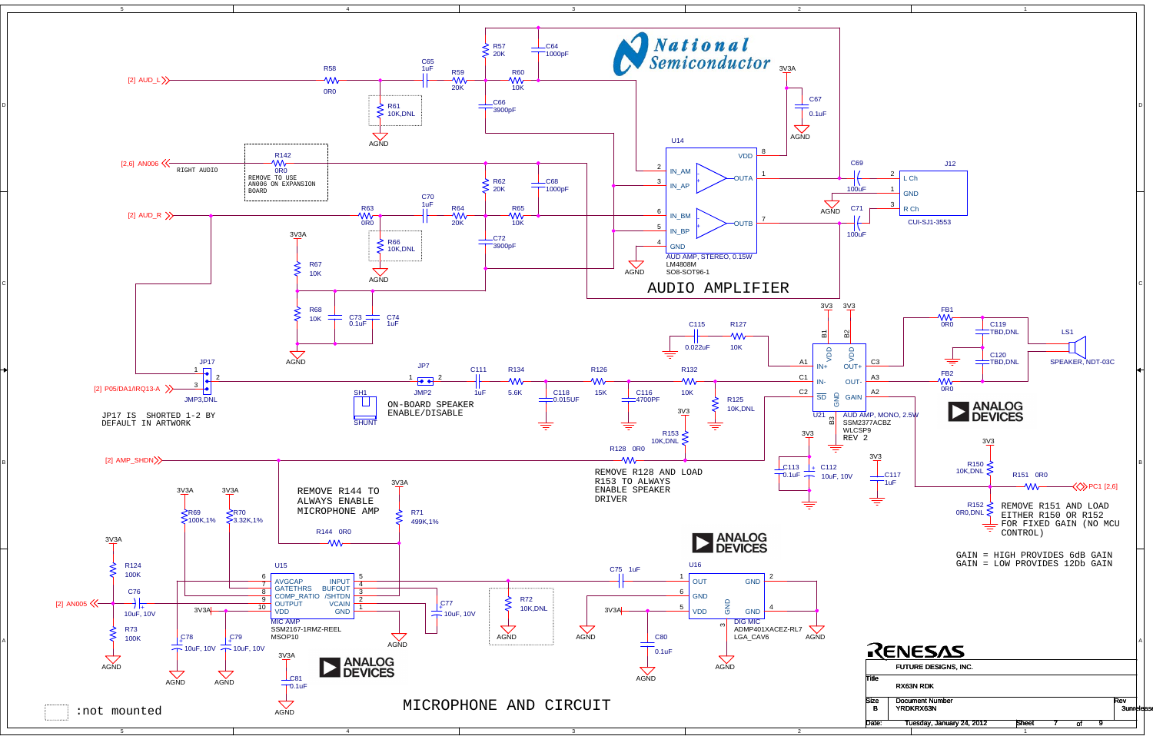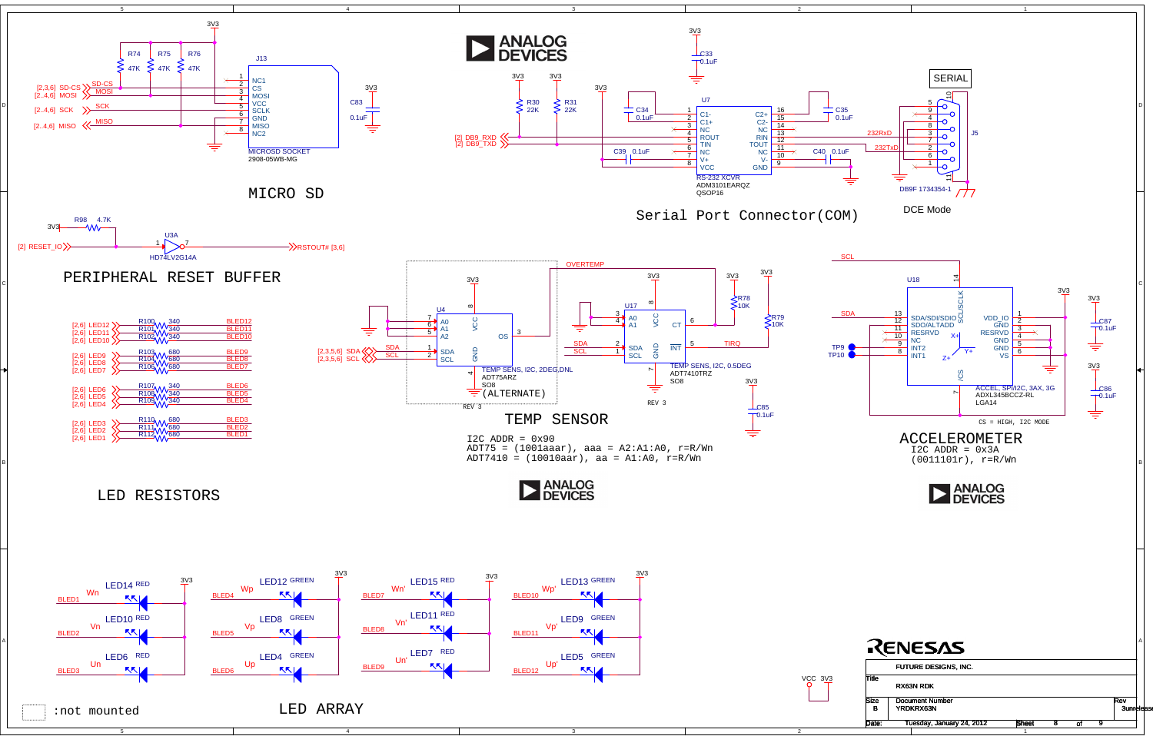

4

4

3

3

2

2

1

1

t 8 of

D

C

B

A





R112 A 680

R111 14 1680

R110 A A 680

R108 W 340<br>R109 W 340

R107<sub>A A A</sub> 340

R104 AA 680

R106 AA 680

R103 AA 680

R100 A A 340

R101 1 340

R102 1 340

[2,6] LED7 [2,6] LED8 [2,6] LED9  $[2,6]$  LED<sub>10</sub>

 $[2,6]$  LED11  $[2,6]$  LED12  $\sum$ 



BLED1 BLED2 BLED3 BLED4 BLED5 BLED6 BLED7 BLED8 BLED9 BLED10BLED11 BLED12

[2,6] LED1



[2,6] LED2 [2,6] LED3

[2,6] LED4 [2,6] LED5 [2,6] LED6



5

Date: SheetTuesday, January 24, 2012 8 9